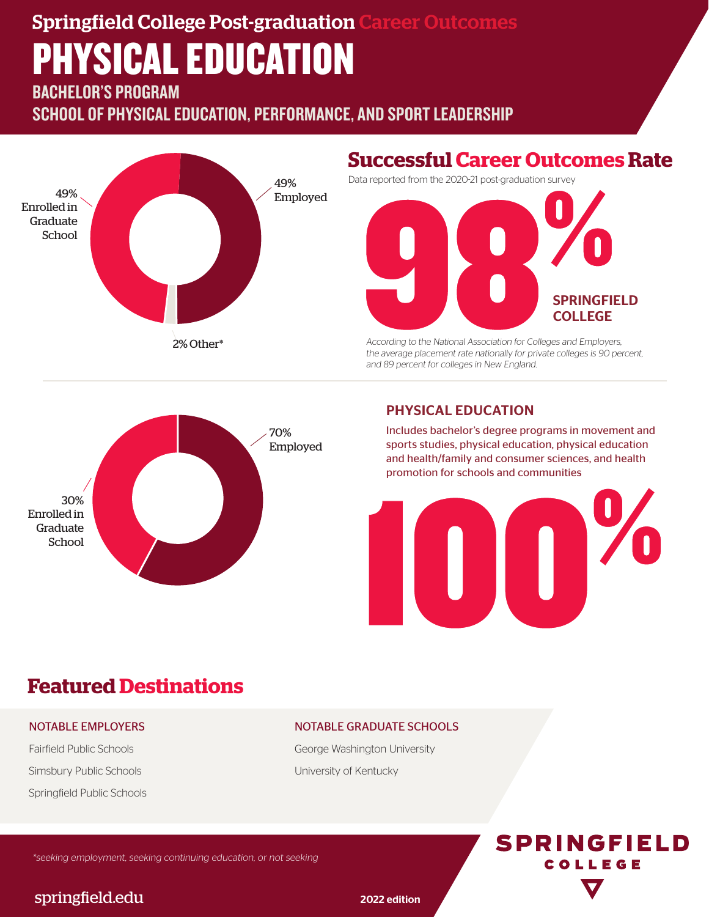# Springfield College Post-graduation Career Outcomes PHYSICAL EDUCATION

BACHELOR'S PROGRAM

SCHOOL OF PHYSICAL EDUCATION, PERFORMANCE, AND SPORT LEADERSHIP



## **Successful Career Outcomes Rate**

Data reported from the 2020-21 post-graduation survey



According to the National Association for Colleges and Employers, the average placement rate nationally for private colleges is 90 percent, and 89 percent for colleges in New England.



### PHYSICAL EDUCATION

Includes bachelor's degree programs in movement and sports studies, physical education, physical education and health/family and consumer sciences, and health promotion for schools and communities



**SPRINGFIELD** COLLEGE

# **Featured Destinations**

#### NOTABLE EMPLOYERS

Fairfield Public Schools Simsbury Public Schools Springfield Public Schools

#### NOTABLE GRADUATE SCHOOLS

George Washington University University of Kentucky

\*seeking employment, seeking continuing education, or not seeking

## springfield.edu 2022 edition